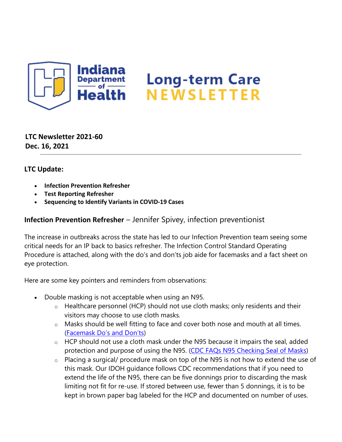

**LTC Newsletter 2021-60 Dec. 16, 2021**

## **LTC Update:**

- **Infection Prevention Refresher**
- **Test Reporting Refresher**
- **Sequencing to Identify Variants in COVID-19 Cases**

## **Infection Prevention Refresher** – Jennifer Spivey, infection preventionist

The increase in outbreaks across the state has led to our Infection Prevention team seeing some critical needs for an IP back to basics refresher. The Infection Control Standard Operating Procedure is attached, along with the do's and don'ts job aide for facemasks and a fact sheet on eye protection.

Here are some key pointers and reminders from observations:

- Double masking is not acceptable when using an N95.
	- $\circ$  Healthcare personnel (HCP) should not use cloth masks; only residents and their visitors may choose to use cloth masks.
	- $\circ$  Masks should be well fitting to face and cover both nose and mouth at all times. [\(Facemask Do's and Don'ts\)](https://protect2.fireeye.com/v1/url?k=168f826d-4914ba89-168bcb6d-8621b744bf41-45a06b5d6535f437&q=1&e=fbf63b96-26df-4d0c-947f-73cf3a65def1&u=https%3A%2F%2Fcontent.govdelivery.com%2Fattachments%2FINSDH%2F2021%2F12%2F16%2Ffile_attachments%2F2024631%2Ffs-facemask-dos-donts.pdf)
	- $\circ$  HCP should not use a cloth mask under the N95 because it impairs the seal, added protection and purpose of using the N95. [\(CDC FAQs N95 Checking Seal of Masks\)](https://protect2.fireeye.com/v1/url?k=e6793af0-b9e20214-e67d73f0-8621b744bf41-86081d587a16d61e&q=1&e=fbf63b96-26df-4d0c-947f-73cf3a65def1&u=https%3A%2F%2Fcontent.govdelivery.com%2Fattachments%2FINSDH%2F2021%2F12%2F16%2Ffile_attachments%2F2024632%2FCDC%2520FAQs%2520N%252095%2520Checking%2520Seal%2520of%2520Masks.pdf)
	- $\circ$  Placing a surgical/ procedure mask on top of the N95 is not how to extend the use of this mask. Our IDOH guidance follows CDC recommendations that if you need to extend the life of the N95, there can be five donnings prior to discarding the mask limiting not fit for re-use. If stored between use, fewer than 5 donnings, it is to be kept in brown paper bag labeled for the HCP and documented on number of uses.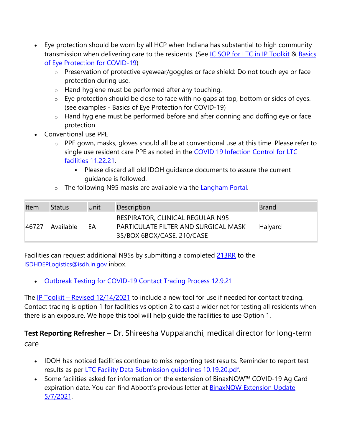- Eye protection should be worn by all HCP when Indiana has substantial to high community transmission when delivering care to the residents. (See [IC SOP for LTC in IP Toolkit](https://www.coronavirus.in.gov/files/IN_COVID-19%20IP%20Toolkit%20ISDH_12.14.21.pdf) & [Basics](https://protect2.fireeye.com/v1/url?k=1fa74406-403c7ce2-1fa30d06-8621b744bf41-dbb2f88c8641b675&q=1&e=fbf63b96-26df-4d0c-947f-73cf3a65def1&u=https%3A%2F%2Fcontent.govdelivery.com%2Fattachments%2FINSDH%2F2021%2F12%2F16%2Ffile_attachments%2F2024633%2FFactsheet_EyeProtect3.pdf)  [of Eye Protection for COVID-19\)](https://protect2.fireeye.com/v1/url?k=1fa74406-403c7ce2-1fa30d06-8621b744bf41-dbb2f88c8641b675&q=1&e=fbf63b96-26df-4d0c-947f-73cf3a65def1&u=https%3A%2F%2Fcontent.govdelivery.com%2Fattachments%2FINSDH%2F2021%2F12%2F16%2Ffile_attachments%2F2024633%2FFactsheet_EyeProtect3.pdf)
	- o Preservation of protective eyewear/goggles or face shield: Do not touch eye or face protection during use.
	- o Hand hygiene must be performed after any touching.
	- $\circ$  Eye protection should be close to face with no gaps at top, bottom or sides of eyes. (see examples - Basics of Eye Protection for COVID-19)
	- o Hand hygiene must be performed before and after donning and doffing eye or face protection.
- Conventional use PPE
	- o PPE gown, masks, gloves should all be at conventional use at this time. Please refer to single use resident care PPE as noted in the COVID 19 Infection Control for LTC [facilities 11.22.21.](https://protect2.fireeye.com/v1/url?k=f265f532-adfecdd6-f261bc32-8621b744bf41-496744f15014cb95&q=1&e=fbf63b96-26df-4d0c-947f-73cf3a65def1&u=https%3A%2F%2Fcontent.govdelivery.com%2Fattachments%2FINSDH%2F2021%2F12%2F16%2Ffile_attachments%2F2024640%2FCOVID%252019%2520Infection%2520Control%2520for%2520LTC%2520facilities%252011.22.21.pdf)
		- Please discard all old IDOH guidance documents to assure the current guidance is followed.
	- The following N95 masks are available via the [Langham Portal.](https://protect2.fireeye.com/v1/url?k=84889abe-db13a25a-848cd3be-8621b744bf41-60f7de371de9ce9b&q=1&e=fbf63b96-26df-4d0c-947f-73cf3a65def1&u=https%3A%2F%2Fwarehouse.elangham.com%2FAccount%2FLogOn%3FReturnUrl%3D%252F)

| Item  | Status    | Unit | Description                                                                                            | <b>Brand</b> |
|-------|-----------|------|--------------------------------------------------------------------------------------------------------|--------------|
| 46727 | Available | FA   | RESPIRATOR, CLINICAL REGULAR N95<br>PARTICULATE FILTER AND SURGICAL MASK<br>35/BOX 6BOX/CASE, 210/CASE | Halyard      |

Facilities can request additional N95s by submitting a completed [213RR](https://www.coronavirus.in.gov/files/213RR.pdf) to the [ISDHDEPLogistics@isdh.in.gov](mailto:ISDHDEPLogistics@isdh.in.gov) inbox.

• [Outbreak Testing for COVID-19 Contact Tracing Process 12.9.21](https://www.coronavirus.in.gov/files/IN_COVID-19_POC_test_reporting%2011.5.21.pdf)

The IP Toolkit – [Revised 12/14/2021](https://www.coronavirus.in.gov/files/IN_COVID-19%20IP%20Toolkit%20ISDH_12.14.21.pdf) to include a new tool for use if needed for contact tracing. Contact tracing is option 1 for facilities vs option 2 to cast a wider net for testing all residents when there is an exposure. We hope this tool will help guide the facilities to use Option 1.

**Test Reporting Refresher** – Dr. Shireesha Vuppalanchi, medical director for long-term care

- IDOH has noticed facilities continue to miss reporting test results. Reminder to report test results as per LTC Facility Data Submission quidelines 10.19.20.pdf.
- Some facilities asked for information on the extension of BinaxNOW™ COVID-19 Ag Card expiration date. You can find Abbott's previous letter at [BinaxNOW Extension Update](https://www.coronavirus.in.gov/files/BinaxNOW%20Expiration%20Date%20Extension%20-%2012%20month.pdf)  [5/7/2021.](https://www.coronavirus.in.gov/files/BinaxNOW%20Expiration%20Date%20Extension%20-%2012%20month.pdf)